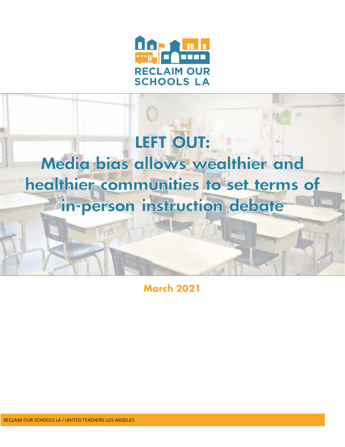

# LEFT OUT: Media bias allows wealthier and healthier communities to set terms of in-person instruction debate

**March 2021**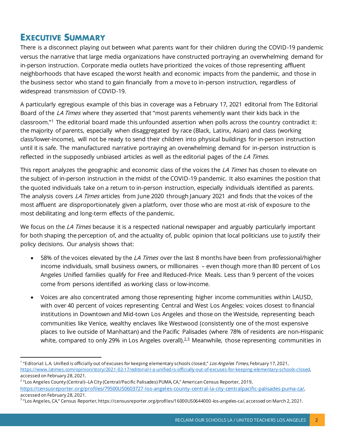## **EXECUTIVE SUMMARY**

There is a disconnect playing out between what parents want for their children during the COVID-19 pandemic versus the narrative that large media organizations have constructed portraying an overwhelming demand for in-person instruction. Corporate media outlets have prioritized the voices of those representing affluent neighborhoods that have escaped the worst health and economic impacts from the pandemic, and those in the business sector who stand to gain financially from a move to in-person instruction, regardless of widespread transmission of COVID-19.

A particularly egregious example of this bias in coverage was a February 17, 2021 editorial from The Editorial Board of the LA Times where they asserted that "most parents vehemently want their kids back in the classroom."<sup>1</sup> The editorial board made this unfounded assertion when polls across the country contradict it: the majority of parents, especially when disaggregated by race (Black, Latinx, Asian) and class (working class/lower-income), will not be ready to send their children into physical buildings for in-person instruction until it is safe. The manufactured narrative portraying an overwhelming demand for in-person instruction is reflected in the supposedly unbiased articles as well as the editorial pages of the LA Times.

This report analyzes the geographic and economic class of the voices the *LA Times* has chosen to elevate on the subject of in-person instruction in the midst of the COVID-19 pandemic. It also examines the position that the quoted individuals take on a return to in-person instruction, especially individuals identified as parents. The analysis covers LA Times articles from June 2020 through January 2021 and finds that the voices of the most affluent are disproportionately given a platform, over those who are most at-risk of exposure to the most debilitating and long-term effects of the pandemic.

We focus on the LA Times because it is a respected national newspaper and arguably particularly important for both shaping the perception of, and the actuality of, public opinion that local politicians use to justify their policy decisions. Our analysis shows that:

- 58% of the voices elevated by the LA Times over the last 8 months have been from professional/higher income individuals, small business owners, or millionaires – even though more than 80 percent of Los Angeles Unified families qualify for Free and Reduced-Price Meals. Less than 9 percent of the voices come from persons identified as working class or low-income.
- Voices are also concentrated among those representing higher income communities within LAUSD, with over 40 percent of voices representing Central and West Los Angeles: voices closest to financial institutions in Downtown and Mid-town Los Angeles and those on the Westside, representing beach communities like Venice, wealthy enclaves like Westwood (consistently one of the most expensive places to live outside of Manhattan) and the Pacific Palisades (where 78% of residents are non-Hispanic white, compared to only 29% in Los Angeles overall).<sup>2,3</sup> Meanwhile, those representing communities in

2 "Los Angeles County (Central)--LA City (Central/Pacific Palisades) PUMA, CA," American Census Reporter, 2019,

<sup>&</sup>lt;sup>1</sup> "Editorial: L.A. Unified is officially out of excuses for keeping elementary schools closed," *Los Angeles Times*, February 17, 2021, <https://www.latimes.com/opinion/story/2021-02-17/editorial-l-a-unified-is-officially-out-of-excuses-for-keeping-elementary-schools-closed>, accessed on February 28, 2021.

<https://censusreporter.org/profiles/79500US0603727-los-angeles-county-central-la-city-centralpacific-palisades-puma-ca/>, accessed on February 28, 2021.

<sup>3</sup> "Los Angeles, CA," Census Reporter, https://censusreporter.org/profiles/16000US0644000-los-angeles-ca/, accessed on March 2, 2021.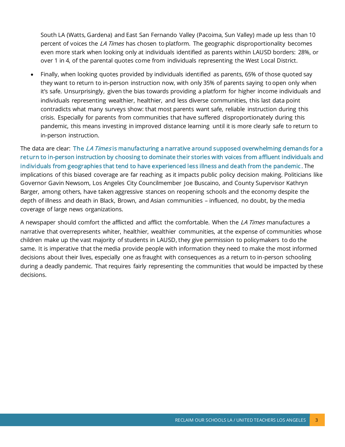South LA (Watts, Gardena) and East San Fernando Valley (Pacoima, Sun Valley) made up less than 10 percent of voices the LA Times has chosen to platform. The geographic disproportionality becomes even more stark when looking only at individuals identified as parents within LAUSD borders: 28%, or over 1 in 4, of the parental quotes come from individuals representing the West Local District.

• Finally, when looking quotes provided by individuals identified as parents, 65% of those quoted say they want to return to in-person instruction now, with only 35% of parents saying to open only when it's safe. Unsurprisingly, given the bias towards providing a platform for higher income individuals and individuals representing wealthier, healthier, and less diverse communities, this last data point contradicts what many surveys show: that most parents want safe, reliable instruction during this crisis. Especially for parents from communities that have suffered disproportionately during this pandemic, this means investing in improved distance learning until it is more clearly safe to return to in-person instruction.

The data are clear: The LA Times is manufacturing a narrative around supposed overwhelming demands for a return to in-person instruction by choosing to dominate their stories with voices from affluent individuals and individuals from geographies that tend to have experienced less illness and death from the pandemic . The implications of this biased coverage are far reaching as it impacts public policy decision making. Politicians like Governor Gavin Newsom, Los Angeles City Councilmember Joe Buscaino, and County Supervisor Kathryn Barger, among others, have taken aggressive stances on reopening schools and the economy despite the depth of illness and death in Black, Brown, and Asian communities – influenced, no doubt, by the media coverage of large news organizations.

A newspaper should comfort the afflicted and afflict the comfortable. When the *LA Times* manufactures a narrative that overrepresents whiter, healthier, wealthier communities, at the expense of communities whose children make up the vast majority of students in LAUSD, they give permission to policymakers to do the same. It is imperative that the media provide people with information they need to make the most informed decisions about their lives, especially one as fraught with consequences as a return to in-person schooling during a deadly pandemic. That requires fairly representing the communities that would be impacted by these decisions.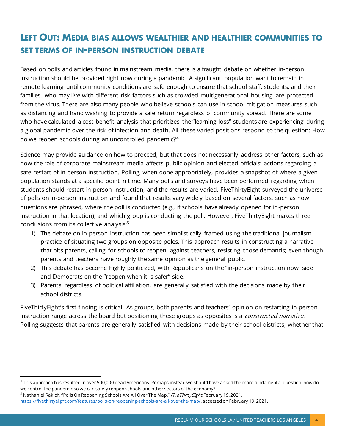# **LEFT OUT: MEDIA BIAS ALLOWS WEALTHIER AND HEALTHIER COMMUNITIES TO SET TERMS OF IN-PERSON INSTRUCTION DEBATE**

Based on polls and articles found in mainstream media, there is a fraught debate on whether in-person instruction should be provided right now during a pandemic. A significant population want to remain in remote learning until community conditions are safe enough to ensure that school staff, students, and their families, who may live with different risk factors such as crowded multigenerational housing, are protected from the virus. There are also many people who believe schools can use in-school mitigation measures such as distancing and hand washing to provide a safe return regardless of community spread. There are some who have calculated a cost-benefit analysis that prioritizes the "learning loss" students are experiencing during a global pandemic over the risk of infection and death. All these varied positions respond to the question: How do we reopen schools during an uncontrolled pandemic?<sup>4</sup>

Science may provide guidance on how to proceed, but that does not necessarily address other factors, such as how the role of corporate mainstream media affects public opinion and elected officials' actions regarding a safe restart of in-person instruction. Polling, when done appropriately, provides a snapshot of where a given population stands at a specific point in time. Many polls and surveys have been performed regarding when students should restart in-person instruction, and the results are varied. FiveThirtyEight surveyed the universe of polls on in-person instruction and found that results vary widely based on several factors, such as how questions are phrased, where the poll is conducted (e.g., if schools have already opened for in-person instruction in that location), and which group is conducting the poll. However, FiveThirtyEight makes three conclusions from its collective analysis:<sup>5</sup>

- 1) The debate on in-person instruction has been simplistically framed using the traditional journalism practice of situating two groups on opposite poles. This approach results in constructing a narrative that pits parents, calling for schools to reopen, against teachers, resisting those demands; even though parents and teachers have roughly the same opinion as the general public.
- 2) This debate has become highly politicized, with Republicans on the "in-person instruction now" side and Democrats on the "reopen when it is safer" side.
- 3) Parents, regardless of political affiliation, are generally satisfied with the decisions made by their school districts.

FiveThirtyEight's first finding is critical. As groups, both parents and teachers' opinion on restarting in-person instruction range across the board but positioning these groups as opposites is a constructed narrative. Polling suggests that parents are generally satisfied with decisions made by their school districts, whether that

<sup>4</sup> This approach has resulted in over 500,000 dead Americans. Perhaps instead we should have a sked the more fundamental question: how do we control the pandemic so we can safely reopen schools and other sectors of the economy?

<sup>&</sup>lt;sup>5</sup> Nathaniel Rakich, "Polls On Reopening Schools Are All Over The Map," *FiveThirtyEight*, February 19, 2021,

<https://fivethirtyeight.com/features/polls-on-reopening-schools-are-all-over-the-map/>, accessed on February 19, 2021.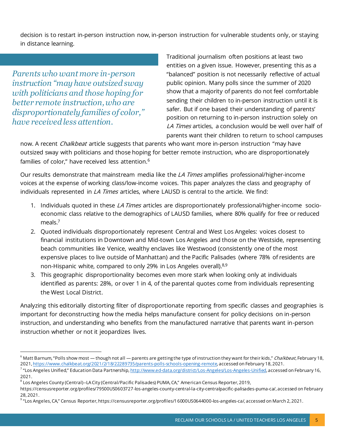decision is to restart in-person instruction now, in-person instruction for vulnerable students only, or staying in distance learning.

*Parents who want more in-person instruction "may have outsized sway with politicians and those hoping for better remote instruction, who are disproportionately families of color," have received less attention.*

Traditional journalism often positions at least two entities on a given issue. However, presenting this as a "balanced" position is not necessarily reflective of actual public opinion. Many polls since the summer of 2020 show that a majority of parents do not feel comfortable sending their children to in-person instruction until it is safer. But if one based their understanding of parents' position on returning to in-person instruction solely on LA Times articles, a conclusion would be well over half of parents want their children to return to school campuses

now. A recent *Chalkbeat* article suggests that parents who want more in-person instruction "may have outsized sway with politicians and those hoping for better remote instruction, who are disproportionately families of color," have received less attention.<sup>6</sup>

Our results demonstrate that mainstream media like the *LA Times* amplifies professional/higher-income voices at the expense of working class/low-income voices. This paper analyzes the class and geography of individuals represented in *LA Times* articles, where LAUSD is central to the article. We find:

- 1. Individuals quoted in these LA Times articles are disproportionately professional/higher-income socioeconomic class relative to the demographics of LAUSD families, where 80% qualify for free or reduced meals.<sup>7</sup>
- 2. Quoted individuals disproportionately represent Central and West Los Angeles: voices closest to financial institutions in Downtown and Mid-town Los Angeles and those on the Westside, representing beach communities like Venice, wealthy enclaves like Westwood (consistently one of the most expensive places to live outside of Manhattan) and the Pacific Palisades (where 78% of residents are non-Hispanic white, compared to only 29% in Los Angeles overall).8,9
- 3. This geographic disproportionality becomes even more stark when looking only at individuals identified as parents: 28%, or over 1 in 4, of the parental quotes come from individuals representing the West Local District.

Analyzing this editorially distorting filter of disproportionate reporting from specific classes and geographies is important for deconstructing how the media helps manufacture consent for policy decisions on in-person instruction, and understanding who benefits from the manufactured narrative that parents want in-person instruction whether or not it jeopardizes lives.

<sup>&</sup>lt;sup>6</sup> Matt Barnum, "Polls show most — though not all — parents are getting the type of instruction they want for their kids," Chalkbeat, February 18, 2021[, https://www.chalkbeat.org/2021/2/18/22289735/parents-polls-schools-opening-remote](https://www.chalkbeat.org/2021/2/18/22289735/parents-polls-schools-opening-remote), accessed on February 18, 2021.

<sup>&</sup>lt;sup>7</sup> "Los Angeles Unified," Education Data Partnership, [http://www.ed-data.org/district/Los-Angeles/Los-Angeles-Unified,](http://www.ed-data.org/district/Los-Angeles/Los-Angeles-Unified) accessed on February 16, 2021.

<sup>8</sup> Los Angeles County (Central)--LA City (Central/Pacific Palisades) PUMA, CA," American Census Reporter, 2019,

https://censusreporter.org/profiles/79500US0603727-los-angeles-county-central-la-city-centralpacific-palisades-puma-ca/, accessed on February 28, 2021.

<sup>9</sup> "Los Angeles, CA," Census Reporter, https://censusreporter.org/profiles/16000US0644000-los-angeles-ca/, accessed on March 2, 2021.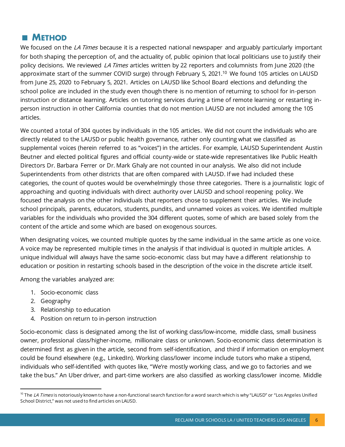## **METHOD**

We focused on the LA Times because it is a respected national newspaper and arguably particularly important for both shaping the perception of, and the actuality of, public opinion that local politicians use to justify their policy decisions. We reviewed *LA Times* articles written by 22 reporters and columnists from June 2020 (the approximate start of the summer COVID surge) through February 5, 2021.<sup>10</sup> We found 105 articles on LAUSD from June 25, 2020 to February 5, 2021. Articles on LAUSD like School Board elections and defunding the school police are included in the study even though there is no mention of returning to school for in-person instruction or distance learning. Articles on tutoring services during a time of remote learning or restarting inperson instruction in other California counties that do not mention LAUSD are not included among the 105 articles.

We counted a total of 304 quotes by individuals in the 105 articles. We did not count the individuals who are directly related to the LAUSD or public health governance, rather only counting what we classified as supplemental voices (herein referred to as "voices") in the articles. For example, LAUSD Superintendent Austin Beutner and elected political figures and official county-wide or state-wide representatives like Public Health Directors Dr. Barbara Ferrer or Dr. Mark Ghaly are not counted in our analysis. We also did not include Superintendents from other districts that are often compared with LAUSD. If we had included these categories, the count of quotes would be overwhelmingly those three categories. There is a journalistic logic of approaching and quoting individuals with direct authority over LAUSD and school reopening policy. We focused the analysis on the other individuals that reporters chose to supplement their articles. We include school principals, parents, educators, students, pundits, and unnamed voices as voices. We identified multiple variables for the individuals who provided the 304 different quotes, some of which are based solely from the content of the article and some which are based on exogenous sources.

When designating voices, we counted multiple quotes by the same individual in the same article as one voice. A voice may be represented multiple times in the analysis if that individual is quoted in multiple articles. A unique individual will always have the same socio-economic class but may have a different relationship to education or position in restarting schools based in the description of the voice in the discrete article itself.

Among the variables analyzed are:

- 1. Socio-economic class
- 2. Geography
- 3. Relationship to education
- 4. Position on return to in-person instruction

Socio-economic class is designated among the list of working class/low-income, middle class, small business owner, professional class/higher-income, millionaire class or unknown. Socio-economic class determination is determined first as given in the article, second from self-identification, and third if information on employment could be found elsewhere (e.g., LinkedIn). Working class/lower income include tutors who make a stipend, individuals who self-identified with quotes like, "We're mostly working class, and we go to factories and we take the bus." An Uber driver, and part-time workers are also classified as working class/lower income. Middle

<sup>&</sup>lt;sup>10</sup> The *LA Times* is notoriously known to have a non-functional search function for a word search which is why "LAUSD" or "Los Angeles Unified School District," was not used to find articles on LAUSD.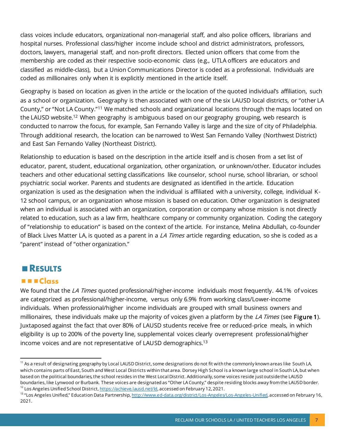class voices include educators, organizational non-managerial staff, and also police officers, librarians and hospital nurses. Professional class/higher income include school and district administrators, professors, doctors, lawyers, managerial staff, and non-profit directors. Elected union officers that come from the membership are coded as their respective socio-economic class (e.g., UTLA officers are educators and classified as middle-class), but a Union Communications Director is coded as a professional. Individuals are coded as millionaires only when it is explicitly mentioned in the article itself.

Geography is based on location as given in the article or the location of the quoted individual's affiliation, such as a school or organization. Geography is then associated with one of the six LAUSD local districts, or "other LA County," or "Not LA County."<sup>11</sup> We matched schools and organizational locations through the maps located on the LAUSD website.<sup>12</sup> When geography is ambiguous based on our geography grouping, web research is conducted to narrow the focus, for example, San Fernando Valley is large and the size of city of Philadelphia. Through additional research, the location can be narrowed to West San Fernando Valley (Northwest District) and East San Fernando Valley (Northeast District).

Relationship to education is based on the description in the article itself and is chosen from a set list of educator, parent, student, educational organization, other organization, or unknown/other. Educator includes teachers and other educational setting classifications like counselor, school nurse, school librarian, or school psychiatric social worker. Parents and students are designated as identified in the article. Education organization is used as the designation when the individual is affiliated with a university, college, individual K-12 school campus, or an organization whose mission is based on education. Other organization is designated when an individual is associated with an organization, corporation or company whose mission is not directly related to education, such as a law firm, healthcare company or community organization. Coding the category of "relationship to education" is based on the context of the article. For instance, Melina Abdullah, co-founder of Black Lives Matter LA, is quoted as a parent in a *LA Times* article regarding education, so she is coded as a "parent" instead of "other organization."

## **RESULTS**

#### **E** EClass

We found that the *LA Times* quoted professional/higher-income individuals most frequently. 44.1% of voices are categorized as professional/higher-income, versus only 6.9% from working class/Lower-income individuals. When professional/higher income individuals are grouped with small business owners and millionaires, these individuals make up the majority of voices given a platform by the *LA Times* (see Figure 1). Juxtaposed against the fact that over 80% of LAUSD students receive free or reduced-price meals, in which eligibility is up to 200% of the poverty line, supplemental voices clearly overrepresent professional/higher income voices and are not representative of LAUSD demographics.<sup>13</sup>

<sup>&</sup>lt;sup>11</sup> As a result of designating geography by Local LAUSD District, some designations do not fit with the commonly known areas like South LA, which contains parts of East, South and West Local Districts within that area. Dorsey High School is a known large school in South LA, but when based on the political boundaries, the school resides in the West Local District. Additionally, some voices reside just outside the LAUSD boundaries, like Lynwood or Burbank. These voices are designated as "Other LA County," despite residing blocks away from the LAUSD border. <sup>12</sup> Los Angeles Unified School District[, https://achieve.lausd.net/ld,](https://achieve.lausd.net/ld) accessed on February 12, 2021.

<sup>&</sup>lt;sup>13</sup> "Los Angeles Unified," Education Data Partnership, <u>http://www.ed-data.org/district/Los-Angeles/Los-Angeles-Unified</u>, accessed on February 16, 2021.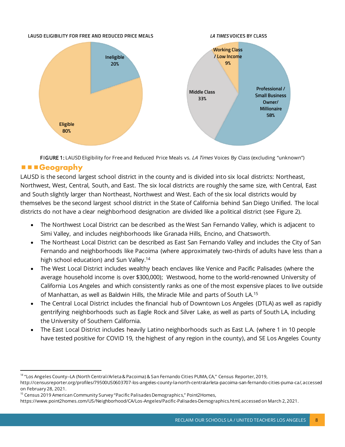

FIGURE 1: LAUSD Eligibility for Free and Reduced Price Meals vs. *LA Times* Voices By Class (excluding "unknown")

### **E E** Geography

LAUSD is the second largest school district in the county and is divided into six local districts: Northeast, Northwest, West, Central, South, and East. The six local districts are roughly the same size, with Central, East and South slightly larger than Northeast, Northwest and West. Each of the six local districts would by themselves be the second largest school district in the State of California behind San Diego Unified. The local districts do not have a clear neighborhood designation are divided like a political district (see Figure 2).

- The Northwest Local District can be described as the West San Fernando Valley, which is adjacent to Simi Valley, and includes neighborhoods like Granada Hills, Encino, and Chatsworth.
- The Northeast Local District can be described as East San Fernando Valley and includes the City of San Fernando and neighborhoods like Pacoima (where approximately two-thirds of adults have less than a high school education) and Sun Valley.<sup>14</sup>
- The West Local District includes wealthy beach enclaves like Venice and Pacific Palisades (where the average household income is over \$300,000); Westwood, home to the world-renowned University of California Los Angeles and which consistently ranks as one of the most expensive places to live outside of Manhattan, as well as Baldwin Hills, the Miracle Mile and parts of South LA.<sup>15</sup>
- The Central Local District includes the financial hub of Downtown Los Angeles (DTLA) as well as rapidly gentrifying neighborhoods such as Eagle Rock and Silver Lake, as well as parts of South LA, including the University of Southern California.
- The East Local District includes heavily Latino neighborhoods such as East L.A. (where 1 in 10 people have tested positive for COVID 19, the highest of any region in the county), and SE Los Angeles County

<sup>&</sup>lt;sup>14</sup> "Los Angeles County--LA (North Central/Arleta & Pacoima) & San Fernando Cities PUMA, CA," Census Reporter, 2019,

http://censusreporter.org/profiles/79500US0603707-los-angeles-county-la-north-centralarleta-pacoima-san-fernando-cities-puma-ca/, accessed on February 28, 2021.

<sup>&</sup>lt;sup>15</sup> Census 2019 American Community Survey "Pacific Palisades Demographics," Point2Homes,

https://www.point2homes.com/US/Neighborhood/CA/Los-Angeles/Pacific-Palisades-Demographics.html, accessed on March 2, 2021.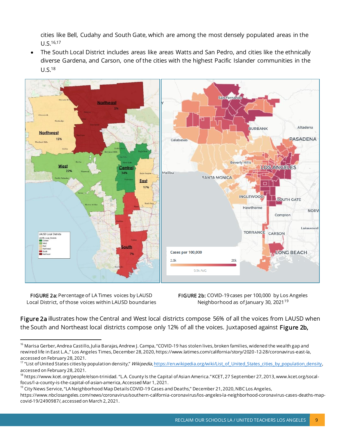cities like Bell, Cudahy and South Gate, which are among the most densely populated areas in the U.S.16,17

• The South Local District includes areas like areas Watts and San Pedro, and cities like the ethnically diverse Gardena, and Carson, one of the cities with the highest Pacific Islander communities in the U.S.<sup>18</sup>



FIGURE 2a: Percentage of LA Times voices by LAUSD Local District, of those voices within LAUSD boundaries FIGURE 2b: COVID-19 cases per 100,000 by Los Angeles Neighborhood as of January 30, 2021<sup>19</sup>

Figure 2a illustrates how the Central and West local districts compose 56% of all the voices from LAUSD when the South and Northeast local districts compose only 12% of all the voices. Juxtaposed against Figure 2b,

<sup>&</sup>lt;sup>16</sup> Marisa Gerber, Andrea Castillo, Julia Barajas, Andrew J. Campa, "COVID-19 has stolen lives, broken families, widened the wealth gap and rewired life in East L.A.," Los Angeles Times, December 28, 2020, https://www.latimes.com/california/story/2020 -12-28/coronavirus-east-la, accessed on February 28, 2021.

<sup>&</sup>lt;sup>17</sup> "List of United States cities by population density," *Wikipedia*[, https://en.wikipedia.org/wiki/List\\_of\\_United\\_States\\_cities\\_by\\_population\\_density,](https://en.wikipedia.org/wiki/List_of_United_States_cities_by_population_density) accessed on February 28, 2021.

<sup>18</sup> https://www.kcet.org/people/elson-trinidad. "L.A. County Is the Capital of Asian America." KCET, 27 September 27, 2013, www.kcet.org/socalfocus/l-a-county-is-the-capital-of-asian-america,Accessed Mar 1, 2021.

 $^{19}$  City News Service, "LA Neighborhood Map Details COVID-19 Cases and Deaths," December 21, 2020, NBC Los Angeles,

https://www.nbclosangeles.com/news/coronavirus/southern-california-coronavirus/los-angeles-la-neighborhood-coronavirus-cases-deaths-mapcovid-19/2490987/, accessed on March 2, 2021.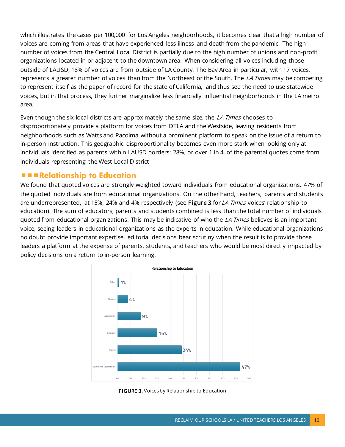which illustrates the cases per 100,000 for Los Angeles neighborhoods, it becomes clear that a high number of voices are coming from areas that have experienced less illness and death from the pandemic. The high number of voices from the Central Local District is partially due to the high number of unions and non-profit organizations located in or adjacent to the downtown area. When considering all voices including those outside of LAUSD, 18% of voices are from outside of LA County. The Bay Area in particular, with 17 voices, represents a greater number of voices than from the Northeast or the South. The LA Times may be competing to represent itself as the paper of record for the state of California, and thus see the need to use statewide voices, but in that process, they further marginalize less financially influential neighborhoods in the LA metro area.

Even though the six local districts are approximately the same size, the LA Times chooses to disproportionately provide a platform for voices from DTLA and the Westside, leaving residents from neighborhoods such as Watts and Pacoima without a prominent platform to speak on the issue of a return to in-person instruction. This geographic disproportionality becomes even more stark when looking only at individuals identified as parents within LAUSD borders: 28%, or over 1 in 4, of the parental quotes come from individuals representing the West Local District

#### **Relationship to Education**

We found that quoted voices are strongly weighted toward individuals from educational organizations. 47% of the quoted individuals are from educational organizations. On the other hand, teachers, parents and students are underrepresented, at 15%, 24% and 4% respectively (see Figure 3 for LA Times voices' relationship to education). The sum of educators, parents and students combined is less than the total number of individuals quoted from educational organizations. This may be indicative of who the LA Times believes is an important voice, seeing leaders in educational organizations as the experts in education. While educational organizations no doubt provide important expertise, editorial decisions bear scrutiny when the result is to provide those leaders a platform at the expense of parents, students, and teachers who would be most directly impacted by policy decisions on a return to in-person learning.



FIGURE 3: Voices by Relationship to Education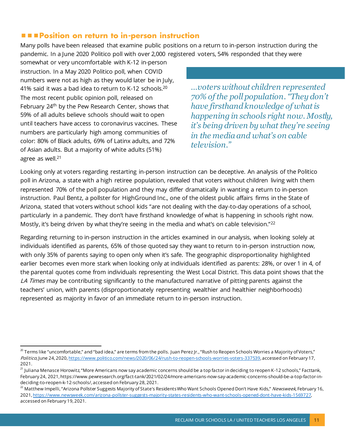#### **PPOsition on return to in-person instruction**

Many polls have been released that examine public positions on a return to in-person instruction during the pandemic. In a June 2020 Politico poll with over 2,000 registered voters, 54% responded that they were

somewhat or very uncomfortable with K-12 in-person instruction. In a May 2020 Politico poll, when COVID numbers were not as high as they would later be in July, 41% said it was a bad idea to return to K-12 schools.<sup>20</sup> The most recent public opinion poll, released on February 24<sup>th</sup> by the Pew Research Center, shows that 59% of all adults believe schools should wait to open until teachers have access to coronavirus vaccines. These numbers are particularly high among communities of color: 80% of Black adults, 69% of Latinx adults, and 72% of Asian adults. But a majority of white adults (51%) agree as well.<sup>21</sup>

*…voters without children represented 70% of the poll population. "They don't have firsthand knowledge of what is happening in schools right now. Mostly, it's being driven by what they're seeing in the media and what's on cable television."*

Looking only at voters regarding restarting in-person instruction can be deceptive. An analysis of the Politico poll in Arizona, a state with a high retiree population, revealed that voters without children living with them represented 70% of the poll population and they may differ dramatically in wanting a return to in-person instruction. Paul Bentz, a pollster for HighGround Inc., one of the oldest public affairs firms in the State of Arizona, stated that voters without school kids "are not dealing with the day-to-day operations of a school, particularly in a pandemic. They don't have firsthand knowledge of what is happening in schools right now. Mostly, it's being driven by what they're seeing in the media and what's on cable television."<sup>22</sup>

Regarding returning to in-person instruction in the articles examined in our analysis, when looking solely at individuals identified as parents, 65% of those quoted say they want to return to in-person instruction now, with only 35% of parents saying to open only when it's safe. The geographic disproportionality highlighted earlier becomes even more stark when looking only at individuals identified as parents: 28%, or over 1 in 4, of the parental quotes come from individuals representing the West Local District. This data point shows that the LA Times may be contributing significantly to the manufactured narrative of pitting parents against the teachers' union, with parents (disproportionately representing wealthier and healthier neighborhoods) represented as majority in favor of an immediate return to in-person instruction.

 $^{20}$  Terms like "uncomfortable," and "bad idea," are terms from the polls. Juan Perez Jr., "Rush to Reopen Schools Worries a Majority of Voters," Politico, June 24, 2020[, https://www.politico.com/news/2020/06/24/rush-to-reopen-schools-worries-voters-337539](https://www.politico.com/news/2020/06/24/rush-to-reopen-schools-worries-voters-337539), accessed on February 17, 2021.

<sup>&</sup>lt;sup>21</sup> Juliana Menasce Horowitz, "More Americans now say academic concerns should be a top factor in deciding to reopen K-12 schools," Facttank, February 24, 2021, https://www.pewresearch.org/fact-tank/2021/02/24/more-americans-now-say-academic-concerns-should-be-a-top-factor-indeciding-to-reopen-k-12-schools/, accessed on February 28, 2021.

<sup>&</sup>lt;sup>22</sup> Matthew Impelli, "Arizona Pollster Suggests Majority of State's Residents Who Want Schools Opened Don't Have Kids," Newsweek, February 16, 2021[, https://www.newsweek.com/arizona-pollster-suggests-majority-states-residents-who-want-schools-opened-dont-have-kids-1569727](https://www.newsweek.com/arizona-pollster-suggests-majority-states-residents-who-want-schools-opened-dont-have-kids-1569727), accessed on February 19, 2021.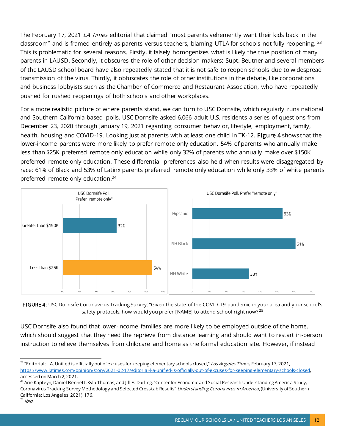The February 17, 2021 LA Times editorial that claimed "most parents vehemently want their kids back in the classroom" and is framed entirely as parents versus teachers, blaming UTLA for schools not fully reopening. <sup>23</sup> This is problematic for several reasons. Firstly, it falsely homogenizes what is likely the true position of many parents in LAUSD. Secondly, it obscures the role of other decision makers: Supt. Beutner and several members of the LAUSD school board have also repeatedly stated that it is not safe to reopen schools due to widespread transmission of the virus. Thirdly, it obfuscates the role of other institutions in the debate, like corporations and business lobbyists such as the Chamber of Commerce and Restaurant Association, who have repeatedly pushed for rushed reopenings of both schools and other workplaces.

For a more realistic picture of where parents stand, we can turn to USC Dornsife, which regularly runs national and Southern California-based polls. USC Dornsife asked 6,066 adult U.S. residents a series of questions from December 23, 2020 through January 19, 2021 regarding consumer behavior, lifestyle, employment, family, health, housing and COVID-19. Looking just at parents with at least one child in TK-12, Figure 4 shows that the lower-income parents were more likely to prefer remote only education. 54% of parents who annually make less than \$25K preferred remote only education while only 32% of parents who annually make over \$150K preferred remote only education. These differential preferences also held when results were disaggregated by race: 61% of Black and 53% of Latinx parents preferred remote only education while only 33% of white parents preferred remote only education.<sup>24</sup>



FIGURE 4: USC Dornsife Coronavirus Tracking Survey: "Given the state of the COVID-19 pandemic in your area and your school's safety protocols, how would you prefer [NAME] to attend school right now?<sup>25</sup>

USC Dornsife also found that lower-income families are more likely to be employed outside of the home, which should suggest that they need the reprieve from distance learning and should want to restart in-person instruction to relieve themselves from childcare and home as the formal education site. However, if instead

<sup>&</sup>lt;sup>23</sup> "Editorial: L.A. Unified is officially out of excuses for keeping elementary schools closed," Los Angeles Times, February 17, 2021, <https://www.latimes.com/opinion/story/2021-02-17/editorial-l-a-unified-is-officially-out-of-excuses-for-keeping-elementary-schools-closed>, accessed on March 2, 2021.

<sup>&</sup>lt;sup>24</sup> Arie Kapteyn, Daniel Bennett, Kyla Thomas, and Jill E. Darling, "Center for Economic and Social Research Understanding Americ a Study, Coronavirus Tracking Survey Methodology and Selected Crosstab Results" Understanding Coronavirus in America, (University of Southern California: Los Angeles, 2021), 176.

 $25$  Ibid.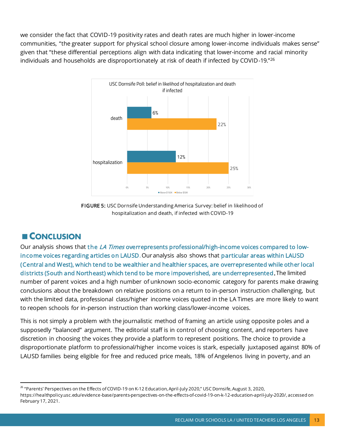we consider the fact that COVID-19 positivity rates and death rates are much higher in lower-income communities, "the greater support for physical school closure among lower-income individuals makes sense" given that "these differential perceptions align with data indicating that lower-income and racial minority individuals and households are disproportionately at risk of death if infected by COVID-19."<sup>26</sup>



FIGURE 5: USC Dornsife Understanding America Survey: belief in likelihood of hospitalization and death, if infected with COVID-19

## **CONCLUSION**

Our analysis shows that the *LA Times* overrepresents professional/high-income voices compared to lowincome voices regarding articles on LAUSD. Our analysis also shows that particular areas within LAUSD (Central and West), which tend to be wealthier and healthier spaces, are overrepresented while other local districts (South and Northeast) which tend to be more impoverished, are underrepresented.The limited number of parent voices and a high number of unknown socio-economic category for parents make drawing conclusions about the breakdown on relative positions on a return to in-person instruction challenging, but with the limited data, professional class/higher income voices quoted in the LA Times are more likely to want to reopen schools for in-person instruction than working class/lower-income voices.

This is not simply a problem with the journalistic method of framing an article using opposite poles and a supposedly "balanced" argument. The editorial staff is in control of choosing content, and reporters have discretion in choosing the voices they provide a platform to represent positions. The choice to provide a disproportionate platform to professional/higher income voices is stark, especially juxtaposed against 80% of LAUSD families being eligible for free and reduced price meals, 18% of Angelenos living in poverty, and an

<sup>&</sup>lt;sup>26</sup> "Parents' Perspectives on the Effects of COVID-19 on K-12 Education, April-July 2020," USC Dornsife, August 3, 2020,

https://healthpolicy.usc.edu/evidence-base/parents-perspectives-on-the-effects-of-covid-19-on-k-12-education-april-july-2020/, accessed on February 17, 2021.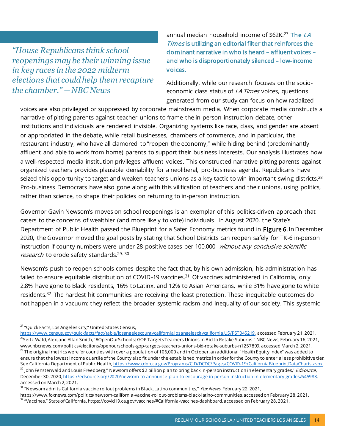*"House Republicans think school reopenings may be their winning issue in key races in the 2022 midterm elections that could help them recapture the chamber." NBC News*

annual median household income of  $$62K.<sup>27</sup>$  The LA Times is utilizing an editorial filter that reinforces the dominant narrative in who is heard – affluent voices – and who is disproportionately silenced – low-income voices.

Additionally, while our research focuses on the socioeconomic class status of *LA Times* voices, questions generated from our study can focus on how racialized

voices are also privileged or suppressed by corporate mainstream media. When corporate media constructs a narrative of pitting parents against teacher unions to frame the in-person instruction debate, other institutions and individuals are rendered invisible. Organizing systems like race, class, and gender are absent or appropriated in the debate, while retail businesses, chambers of commerce, and in particular, the restaurant industry, who have all clamored to "reopen the economy," while hiding behind (predominantly affluent and able to work from home) parents to support their business interests. Our analysis illustrates how a well-respected media institution privileges affluent voices. This constructed narrative pitting parents against organized teachers provides plausible deniability for a neoliberal, pro-business agenda. Republicans have seized this opportunity to target and weaken teachers unions as a key tactic to win important swing districts.<sup>28</sup> Pro-business Democrats have also gone along with this vilification of teachers and their unions, using politics, rather than science, to shape their policies on returning to in-person instruction.

Governor Gavin Newsom's moves on school reopenings is an exemplar of this politics-driven approach that caters to the concerns of wealthier (and more likely to vote) individuals. In August 2020, the State's Department of Public Health passed the Blueprint for a Safer Economy metrics found in Figure 6. In December 2020, the Governor moved the goal posts by stating that School Districts can reopen safely for TK-6 in-person instruction if county numbers were under 28 positive cases per 100,000 without any conclusive scientific r*esearch* to erode safety standards.<sup>29, 30</sup>

Newsom's push to reopen schools comes despite the fact that, by his own admission, his administration has failed to ensure equitable distribution of COVID-19 vaccines.<sup>31</sup> Of vaccines administered in California, only 2.8% have gone to Black residents, 16% to Latinx, and 12% to Asian Americans, while 31% have gone to white residents.<sup>32</sup> The hardest hit communities are receiving the least protection. These inequitable outcomes do not happen in a vacuum: they reflect the broader systemic racism and inequality of our society. This systemic

https://www.foxnews.com/politics/newsom-california-vaccine-rollout-problems-black-latino-communities, accessed on February 28, 2021.

 $27$  "Quick Facts, Los Angeles City," United States Census,

<https://www.census.gov/quickfacts/fact/table/losangelescountycalifornia,losangelescitycalifornia,US/PST045219>, accessed February 21, 2021. <sup>28</sup>Seitz-Wald, Alex, and Allan Smith, "#OpenOurSchools: GOP Targets Teachers Unions in Bid to Retake Suburbs." NBC News, February 16, 2021, www.nbcnews.com/politics/elections/openourschools-gop-targets-teachers-unions-bid-retake-suburbs-n1257899, accessed March 2, 2021.  $^{29}$  The original metrics were for counties with over a population of 106,000 and in October, an additional "Health Equity Index" was added to ensure that the lowest income quartile of the County also fit under the established metrics in order for the County to enter a less prohibitive tier. See California Department of Public Healt[h, https://www.cdph.ca.gov/Programs/CID/DCDC/Pages/COVID-19/CaliforniaBlueprintDataCharts.aspx](https://www.cdph.ca.gov/Programs/CID/DCDC/Pages/COVID-19/CaliforniaBlueprintDataCharts.aspx). <sup>30</sup> John Fensterwald and Louis Freedberg," Newsom offers \$2 billion plan to bring back in-person instruction in elementary grades," *EdSource*, December 30, 2020[, https://edsource.org/2020/newsom-to-announce-plan-to-encourage-in-person-instruction-in-elementary-grades/645983](https://edsource.org/2020/newsom-to-announce-plan-to-encourage-in-person-instruction-in-elementary-grades/645983), accessed on March 2, 2021.

<sup>&</sup>lt;sup>31</sup> "Newsom admits California vaccine rollout problems in Black, Latino communities," Fox News, February 22, 2021,

 $32$  "Vaccines," State of California, https://covid19.ca.gov/vaccines/#California-vaccines-dashboard, accessed on February 28, 2021.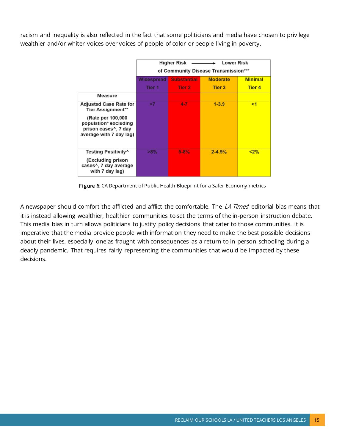racism and inequality is also reflected in the fact that some politicians and media have chosen to privilege wealthier and/or whiter voices over voices of people of color or people living in poverty.

|                                                                                                             | <b>Higher Risk</b><br><b>Lower Risk</b><br>of Community Disease Transmission*** |                    |                 |                |
|-------------------------------------------------------------------------------------------------------------|---------------------------------------------------------------------------------|--------------------|-----------------|----------------|
|                                                                                                             | Widespread                                                                      | <b>Substantial</b> | <b>Moderate</b> | <b>Minimal</b> |
|                                                                                                             | Tier 1                                                                          | Tier 2             | <b>Tier 3</b>   | <b>Tier 4</b>  |
| <b>Measure</b>                                                                                              |                                                                                 |                    |                 |                |
| <b>Adjusted Case Rate for</b><br>Tier Assignment**                                                          | >7                                                                              | $4 - 7$            | $1 - 3.9$       | $1$            |
| (Rate per 100,000)<br>population* excluding<br>prison cases <sup>^</sup> , 7 day<br>average with 7 day lag) |                                                                                 |                    |                 |                |
| Testing Positivity^<br>(Excluding prison<br>cases^, 7 day average<br>with 7 day lag)                        | $>8\%$                                                                          | $5 - 8%$           | $2 - 4.9%$      | $2\%$          |

Figure 6: CA Department of Public Health Blueprint for a Safer Economy metrics

A newspaper should comfort the afflicted and afflict the comfortable. The *LA Times'* editorial bias means that it is instead allowing wealthier, healthier communities to set the terms of the in-person instruction debate. This media bias in turn allows politicians to justify policy decisions that cater to those communities. It is imperative that the media provide people with information they need to make the best possible decisions about their lives, especially one as fraught with consequences as a return to in-person schooling during a deadly pandemic. That requires fairly representing the communities that would be impacted by these decisions.